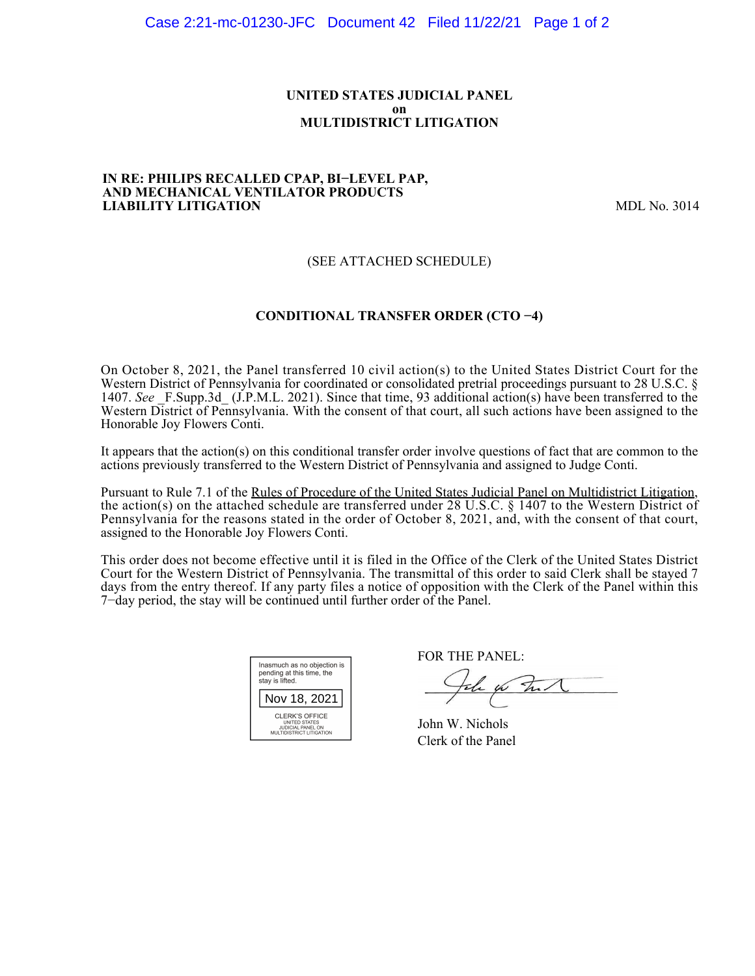# **UNITED STATES JUDICIAL PANEL on MULTIDISTRICT LITIGATION**

#### **IN RE: PHILIPS RECALLED CPAP, BI−LEVEL PAP, AND MECHANICAL VENTILATOR PRODUCTS LIABILITY LITIGATION** MDL No. 3014

# (SEE ATTACHED SCHEDULE)

# **CONDITIONAL TRANSFER ORDER (CTO −4)**

On October 8, 2021, the Panel transferred 10 civil action(s) to the United States District Court for the Western District of Pennsylvania for coordinated or consolidated pretrial proceedings pursuant to 28 U.S.C. § 1407. *See* \_F.Supp.3d\_ (J.P.M.L. 2021). Since that time, 93 additional action(s) have been transferred to the Western District of Pennsylvania. With the consent of that court, all such actions have been assigned to the Honorable Joy Flowers Conti.

It appears that the action(s) on this conditional transfer order involve questions of fact that are common to the actions previously transferred to the Western District of Pennsylvania and assigned to Judge Conti.

Pursuant to Rule 7.1 of the Rules of Procedure of the United States Judicial Panel on Multidistrict Litigation, the action(s) on the attached schedule are transferred under 28 U.S.C. § 1407 to the Western District of Pennsylvania for the reasons stated in the order of October 8, 2021, and, with the consent of that court, assigned to the Honorable Joy Flowers Conti.

This order does not become effective until it is filed in the Office of the Clerk of the United States District Court for the Western District of Pennsylvania. The transmittal of this order to said Clerk shall be stayed 7 days from the entry thereof. If any party files a notice of opposition with the Clerk of the Panel within this 7−day period, the stay will be continued until further order of the Panel.

| Inasmuch as no objection is<br>pending at this time, the<br>stay is lifted.      |  |  |
|----------------------------------------------------------------------------------|--|--|
| Nov 18, 2021                                                                     |  |  |
| CLERK'S OFFICE<br>UNITED STATES<br>JUDICIAL PANEL ON<br>MULTIDISTRICT LITIGATION |  |  |

FOR THE PANEL:

John for Full

John W. Nichols Clerk of the Panel